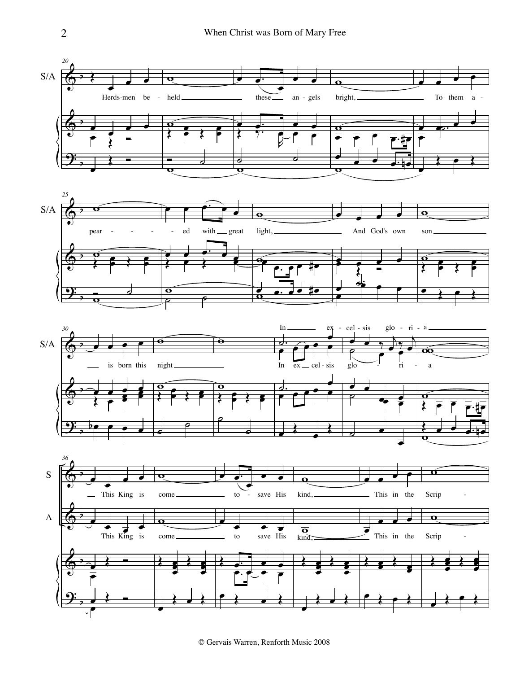







© Gervais Warren, Renforth Music 2008